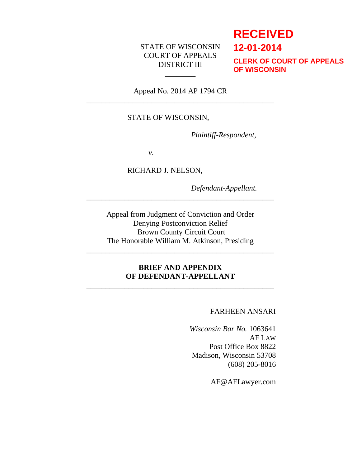## STATE OF WISCONSIN COURT OF APPEALS DISTRICT III

# **RECEIVED**

**12-01-2014**

**CLERK OF COURT OF APPEALS OF WISCONSIN**

Appeal No. 2014 AP 1794 CR \_\_\_\_\_\_\_\_\_\_\_\_\_\_\_\_\_\_\_\_\_\_\_\_\_\_\_\_\_\_\_\_\_\_\_\_\_\_\_\_\_\_\_\_\_\_\_\_\_

\_\_\_\_\_\_\_\_

### STATE OF WISCONSIN,

*Plaintiff-Respondent,*

*v.*

RICHARD J. NELSON,

*Defendant-Appellant.*

Appeal from Judgment of Conviction and Order Denying Postconviction Relief Brown County Circuit Court The Honorable William M. Atkinson, Presiding

\_\_\_\_\_\_\_\_\_\_\_\_\_\_\_\_\_\_\_\_\_\_\_\_\_\_\_\_\_\_\_\_\_\_\_\_\_\_\_\_\_\_\_\_\_\_\_\_\_

\_\_\_\_\_\_\_\_\_\_\_\_\_\_\_\_\_\_\_\_\_\_\_\_\_\_\_\_\_\_\_\_\_\_\_\_\_\_\_\_\_\_\_\_\_\_\_\_\_

### **BRIEF AND APPENDIX OF DEFENDANT-APPELLANT**

\_\_\_\_\_\_\_\_\_\_\_\_\_\_\_\_\_\_\_\_\_\_\_\_\_\_\_\_\_\_\_\_\_\_\_\_\_\_\_\_\_\_\_\_\_\_\_\_\_

### FARHEEN ANSARI

*Wisconsin Bar No.* 1063641 AF LAW Post Office Box 8822 Madison, Wisconsin 53708 (608) 205-8016

AF@AFLawyer.com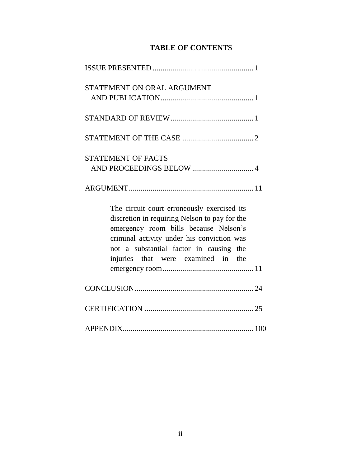# **TABLE OF CONTENTS**

| STATEMENT ON ORAL ARGUMENT                                                                                                                                                                                                                                           |
|----------------------------------------------------------------------------------------------------------------------------------------------------------------------------------------------------------------------------------------------------------------------|
|                                                                                                                                                                                                                                                                      |
|                                                                                                                                                                                                                                                                      |
| <b>STATEMENT OF FACTS</b>                                                                                                                                                                                                                                            |
|                                                                                                                                                                                                                                                                      |
| The circuit court erroneously exercised its<br>discretion in requiring Nelson to pay for the<br>emergency room bills because Nelson's<br>criminal activity under his conviction was<br>not a substantial factor in causing the<br>injuries that were examined in the |
|                                                                                                                                                                                                                                                                      |
|                                                                                                                                                                                                                                                                      |
|                                                                                                                                                                                                                                                                      |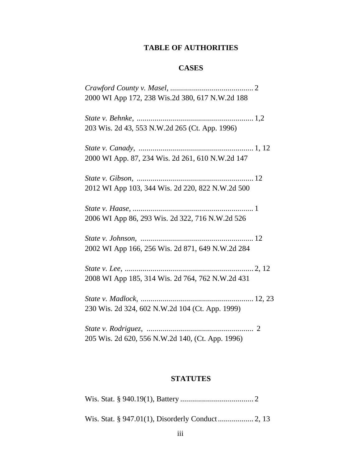# **TABLE OF AUTHORITIES**

# **CASES**

| 2000 WI App 172, 238 Wis.2d 380, 617 N.W.2d 188  |  |
|--------------------------------------------------|--|
|                                                  |  |
| 203 Wis. 2d 43, 553 N.W.2d 265 (Ct. App. 1996)   |  |
|                                                  |  |
| 2000 WI App. 87, 234 Wis. 2d 261, 610 N.W.2d 147 |  |
|                                                  |  |
| 2012 WI App 103, 344 Wis. 2d 220, 822 N.W.2d 500 |  |
|                                                  |  |
| 2006 WI App 86, 293 Wis. 2d 322, 716 N.W.2d 526  |  |
|                                                  |  |
| 2002 WI App 166, 256 Wis. 2d 871, 649 N.W.2d 284 |  |
|                                                  |  |
| 2008 WI App 185, 314 Wis. 2d 764, 762 N.W.2d 431 |  |
|                                                  |  |
| 230 Wis. 2d 324, 602 N.W.2d 104 (Ct. App. 1999)  |  |
|                                                  |  |
| 205 Wis. 2d 620, 556 N.W.2d 140, (Ct. App. 1996) |  |

# **STATUTES**

|--|--|--|--|--|--|--|

Wis. Stat. § 947.01(1), Disorderly Conduct.................. 2, 13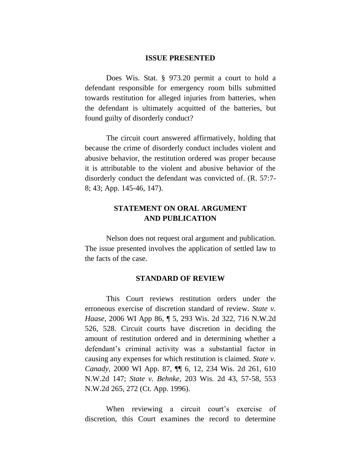#### **ISSUE PRESENTED**

Does Wis. Stat. § 973.20 permit a court to hold a defendant responsible for emergency room bills submitted towards restitution for alleged injuries from batteries, when the defendant is ultimately acquitted of the batteries, but found guilty of disorderly conduct?

The circuit court answered affirmatively, holding that because the crime of disorderly conduct includes violent and abusive behavior, the restitution ordered was proper because it is attributable to the violent and abusive behavior of the disorderly conduct the defendant was convicted of. (R. 57:7- 8; 43; App. 145-46, 147).

## **STATEMENT ON ORAL ARGUMENT AND PUBLICATION**

Nelson does not request oral argument and publication. The issue presented involves the application of settled law to the facts of the case.

#### **STANDARD OF REVIEW**

This Court reviews restitution orders under the erroneous exercise of discretion standard of review. *State v. Haase*, 2006 WI App 86, ¶ 5, 293 Wis. 2d 322, 716 N.W.2d 526, 528. Circuit courts have discretion in deciding the amount of restitution ordered and in determining whether a defendant's criminal activity was a substantial factor in causing any expenses for which restitution is claimed. *State v. Canady*, 2000 WI App. 87, ¶¶ 6, 12, 234 Wis. 2d 261, 610 N.W.2d 147; *State v. Behnke*, 203 Wis. 2d 43, 57-58, 553 N.W.2d 265, 272 (Ct. App. 1996).

When reviewing a circuit court's exercise of discretion, this Court examines the record to determine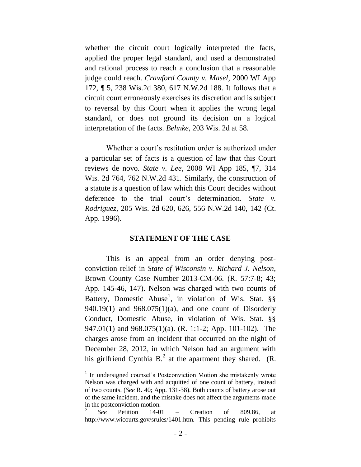whether the circuit court logically interpreted the facts, applied the proper legal standard, and used a demonstrated and rational process to reach a conclusion that a reasonable judge could reach. *Crawford County v. Masel,* 2000 WI App 172, ¶ 5, 238 Wis.2d 380, 617 N.W.2d 188. It follows that a circuit court erroneously exercises its discretion and is subject to reversal by this Court when it applies the wrong legal standard, or does not ground its decision on a logical interpretation of the facts. *Behnke*, 203 Wis. 2d at 58.

Whether a court's restitution order is authorized under a particular set of facts is a question of law that this Court reviews de novo*. State v. Lee*, 2008 WI App 185, ¶7, 314 Wis. 2d 764, 762 N.W.2d 431. Similarly, the construction of a statute is a question of law which this Court decides without deference to the trial court's determination. *State v. Rodriguez*, 205 Wis. 2d 620, 626, 556 N.W.2d 140, 142 (Ct. App. 1996).

#### **STATEMENT OF THE CASE**

This is an appeal from an order denying postconviction relief in *State of Wisconsin v. Richard J. Nelson*, Brown County Case Number 2013-CM-06. (R. 57:7-8; 43; App. 145-46, 147). Nelson was charged with two counts of Battery, Domestic Abuse<sup>1</sup>, in violation of Wis. Stat.  $\S$ § 940.19(1) and 968.075(1)(a), and one count of Disorderly Conduct, Domestic Abuse, in violation of Wis. Stat. §§ 947.01(1) and 968.075(1)(a). (R. 1:1-2; App. 101-102). The charges arose from an incident that occurred on the night of December 28, 2012, in which Nelson had an argument with his girlfriend Cynthia B.<sup>2</sup> at the apartment they shared. (R.

 $\overline{a}$ 

<sup>&</sup>lt;sup>1</sup> In undersigned counsel's Postconviction Motion she mistakenly wrote Nelson was charged with and acquitted of one count of battery, instead of two counts. (*See* R. 40; App. 131-38). Both counts of battery arose out of the same incident, and the mistake does not affect the arguments made in the postconviction motion.

<sup>2</sup> *See* Petition 14-01 – Creation of 809.86, at http://www.wicourts.gov/srules/1401.htm. This pending rule prohibits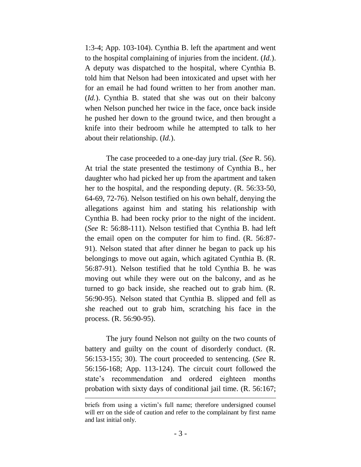1:3-4; App. 103-104). Cynthia B. left the apartment and went to the hospital complaining of injuries from the incident. (*Id.*). A deputy was dispatched to the hospital, where Cynthia B. told him that Nelson had been intoxicated and upset with her for an email he had found written to her from another man. (*Id.*). Cynthia B. stated that she was out on their balcony when Nelson punched her twice in the face, once back inside he pushed her down to the ground twice, and then brought a knife into their bedroom while he attempted to talk to her about their relationship. (*Id.*).

The case proceeded to a one-day jury trial. (*See* R. 56). At trial the state presented the testimony of Cynthia B., her daughter who had picked her up from the apartment and taken her to the hospital, and the responding deputy. (R. 56:33-50, 64-69, 72-76). Nelson testified on his own behalf, denying the allegations against him and stating his relationship with Cynthia B. had been rocky prior to the night of the incident. (*See* R: 56:88-111). Nelson testified that Cynthia B. had left the email open on the computer for him to find. (R. 56:87- 91). Nelson stated that after dinner he began to pack up his belongings to move out again, which agitated Cynthia B. (R. 56:87-91). Nelson testified that he told Cynthia B. he was moving out while they were out on the balcony, and as he turned to go back inside, she reached out to grab him. (R. 56:90-95). Nelson stated that Cynthia B. slipped and fell as she reached out to grab him, scratching his face in the process. (R. 56:90-95).

The jury found Nelson not guilty on the two counts of battery and guilty on the count of disorderly conduct. (R. 56:153-155; 30). The court proceeded to sentencing. (*See* R. 56:156-168; App. 113-124). The circuit court followed the state's recommendation and ordered eighteen months probation with sixty days of conditional jail time. (R. 56:167;

 $\overline{a}$ 

briefs from using a victim's full name; therefore undersigned counsel will err on the side of caution and refer to the complainant by first name and last initial only.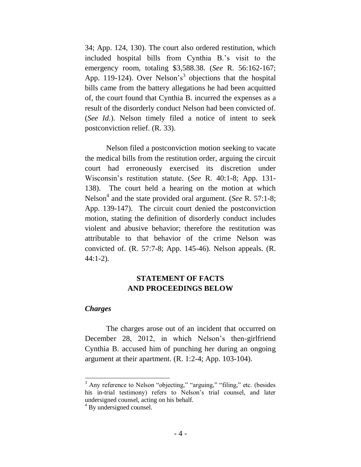34; App. 124, 130). The court also ordered restitution, which included hospital bills from Cynthia B.'s visit to the emergency room, totaling \$3,588.38. (*See* R. 56:162-167; App. 119-124). Over Nelson's<sup>3</sup> objections that the hospital bills came from the battery allegations he had been acquitted of, the court found that Cynthia B. incurred the expenses as a result of the disorderly conduct Nelson had been convicted of. (*See Id.*). Nelson timely filed a notice of intent to seek postconviction relief. (R. 33).

Nelson filed a postconviction motion seeking to vacate the medical bills from the restitution order, arguing the circuit court had erroneously exercised its discretion under Wisconsin's restitution statute. (*See* R. 40:1-8; App. 131- 138). The court held a hearing on the motion at which Nelson<sup>4</sup> and the state provided oral argument. (*See* R. 57:1-8; App. 139-147). The circuit court denied the postconviction motion, stating the definition of disorderly conduct includes violent and abusive behavior; therefore the restitution was attributable to that behavior of the crime Nelson was convicted of. (R. 57:7-8; App. 145-46). Nelson appeals. (R. 44:1-2).

## **STATEMENT OF FACTS AND PROCEEDINGS BELOW**

### *Charges*

 $\overline{\phantom{a}}$ 

The charges arose out of an incident that occurred on December 28, 2012, in which Nelson's then-girlfriend Cynthia B. accused him of punching her during an ongoing argument at their apartment. (R. 1:2-4; App. 103-104).

<sup>&</sup>lt;sup>3</sup> Any reference to Nelson "objecting," "arguing," "filing," etc. (besides his in-trial testimony) refers to Nelson's trial counsel, and later undersigned counsel, acting on his behalf.

<sup>&</sup>lt;sup>4</sup> By undersigned counsel.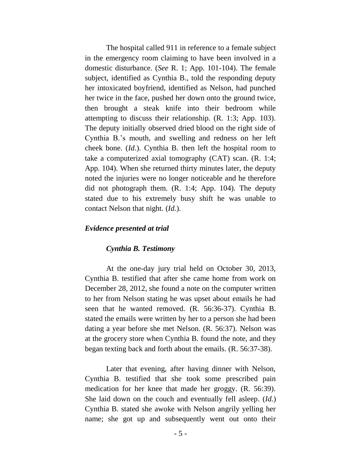The hospital called 911 in reference to a female subject in the emergency room claiming to have been involved in a domestic disturbance. (*See* R. 1; App. 101-104). The female subject, identified as Cynthia B., told the responding deputy her intoxicated boyfriend, identified as Nelson, had punched her twice in the face, pushed her down onto the ground twice, then brought a steak knife into their bedroom while attempting to discuss their relationship. (R. 1:3; App. 103). The deputy initially observed dried blood on the right side of Cynthia B.'s mouth, and swelling and redness on her left cheek bone. (*Id.*). Cynthia B. then left the hospital room to take a computerized axial tomography (CAT) scan. (R. 1:4; App. 104). When she returned thirty minutes later, the deputy noted the injuries were no longer noticeable and he therefore did not photograph them. (R. 1:4; App. 104). The deputy stated due to his extremely busy shift he was unable to contact Nelson that night. (*Id.*).

#### *Evidence presented at trial*

#### *Cynthia B. Testimony*

At the one-day jury trial held on October 30, 2013, Cynthia B. testified that after she came home from work on December 28, 2012, she found a note on the computer written to her from Nelson stating he was upset about emails he had seen that he wanted removed. (R. 56:36-37). Cynthia B. stated the emails were written by her to a person she had been dating a year before she met Nelson. (R. 56:37). Nelson was at the grocery store when Cynthia B. found the note, and they began texting back and forth about the emails. (R. 56:37-38).

Later that evening, after having dinner with Nelson, Cynthia B. testified that she took some prescribed pain medication for her knee that made her groggy. (R. 56:39). She laid down on the couch and eventually fell asleep. (*Id.*) Cynthia B. stated she awoke with Nelson angrily yelling her name; she got up and subsequently went out onto their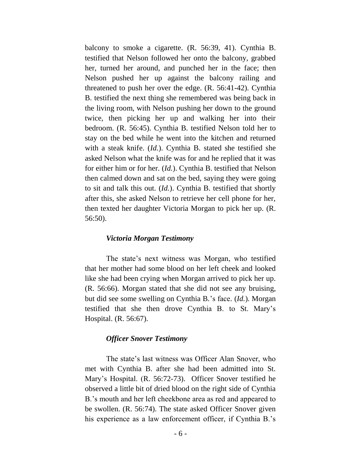balcony to smoke a cigarette. (R. 56:39, 41). Cynthia B. testified that Nelson followed her onto the balcony, grabbed her, turned her around, and punched her in the face; then Nelson pushed her up against the balcony railing and threatened to push her over the edge. (R. 56:41-42). Cynthia B. testified the next thing she remembered was being back in the living room, with Nelson pushing her down to the ground twice, then picking her up and walking her into their bedroom. (R. 56:45). Cynthia B. testified Nelson told her to stay on the bed while he went into the kitchen and returned with a steak knife. (*Id.*). Cynthia B. stated she testified she asked Nelson what the knife was for and he replied that it was for either him or for her. (*Id.*). Cynthia B. testified that Nelson then calmed down and sat on the bed, saying they were going to sit and talk this out. (*Id.*). Cynthia B. testified that shortly after this, she asked Nelson to retrieve her cell phone for her, then texted her daughter Victoria Morgan to pick her up. (R. 56:50).

#### *Victoria Morgan Testimony*

The state's next witness was Morgan, who testified that her mother had some blood on her left cheek and looked like she had been crying when Morgan arrived to pick her up. (R. 56:66). Morgan stated that she did not see any bruising, but did see some swelling on Cynthia B.'s face. (*Id.*). Morgan testified that she then drove Cynthia B. to St. Mary's Hospital. (R. 56:67).

#### *Officer Snover Testimony*

The state's last witness was Officer Alan Snover, who met with Cynthia B. after she had been admitted into St. Mary's Hospital. (R. 56:72-73). Officer Snover testified he observed a little bit of dried blood on the right side of Cynthia B.'s mouth and her left cheekbone area as red and appeared to be swollen. (R. 56:74). The state asked Officer Snover given his experience as a law enforcement officer, if Cynthia B.'s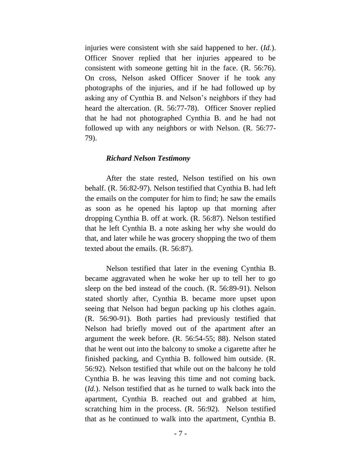injuries were consistent with she said happened to her. (*Id.*). Officer Snover replied that her injuries appeared to be consistent with someone getting hit in the face. (R. 56:76). On cross, Nelson asked Officer Snover if he took any photographs of the injuries, and if he had followed up by asking any of Cynthia B. and Nelson's neighbors if they had heard the altercation. (R. 56:77-78). Officer Snover replied that he had not photographed Cynthia B. and he had not followed up with any neighbors or with Nelson. (R. 56:77- 79).

#### *Richard Nelson Testimony*

After the state rested, Nelson testified on his own behalf. (R. 56:82-97). Nelson testified that Cynthia B. had left the emails on the computer for him to find; he saw the emails as soon as he opened his laptop up that morning after dropping Cynthia B. off at work. (R. 56:87). Nelson testified that he left Cynthia B. a note asking her why she would do that, and later while he was grocery shopping the two of them texted about the emails. (R. 56:87).

Nelson testified that later in the evening Cynthia B. became aggravated when he woke her up to tell her to go sleep on the bed instead of the couch. (R. 56:89-91). Nelson stated shortly after, Cynthia B. became more upset upon seeing that Nelson had begun packing up his clothes again. (R. 56:90-91). Both parties had previously testified that Nelson had briefly moved out of the apartment after an argument the week before. (R. 56:54-55; 88). Nelson stated that he went out into the balcony to smoke a cigarette after he finished packing, and Cynthia B. followed him outside. (R. 56:92). Nelson testified that while out on the balcony he told Cynthia B. he was leaving this time and not coming back. (*Id.*). Nelson testified that as he turned to walk back into the apartment, Cynthia B. reached out and grabbed at him, scratching him in the process. (R. 56:92). Nelson testified that as he continued to walk into the apartment, Cynthia B.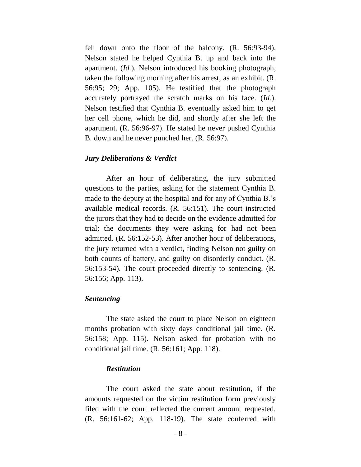fell down onto the floor of the balcony. (R. 56:93-94). Nelson stated he helped Cynthia B. up and back into the apartment. (*Id.*). Nelson introduced his booking photograph, taken the following morning after his arrest, as an exhibit. (R. 56:95; 29; App. 105). He testified that the photograph accurately portrayed the scratch marks on his face. (*Id.*). Nelson testified that Cynthia B. eventually asked him to get her cell phone, which he did, and shortly after she left the apartment. (R. 56:96-97). He stated he never pushed Cynthia B. down and he never punched her. (R. 56:97).

#### *Jury Deliberations & Verdict*

After an hour of deliberating, the jury submitted questions to the parties, asking for the statement Cynthia B. made to the deputy at the hospital and for any of Cynthia B.'s available medical records. (R. 56:151). The court instructed the jurors that they had to decide on the evidence admitted for trial; the documents they were asking for had not been admitted. (R. 56:152-53). After another hour of deliberations, the jury returned with a verdict, finding Nelson not guilty on both counts of battery, and guilty on disorderly conduct. (R. 56:153-54). The court proceeded directly to sentencing. (R. 56:156; App. 113).

#### *Sentencing*

The state asked the court to place Nelson on eighteen months probation with sixty days conditional jail time. (R. 56:158; App. 115). Nelson asked for probation with no conditional jail time. (R. 56:161; App. 118).

#### *Restitution*

The court asked the state about restitution, if the amounts requested on the victim restitution form previously filed with the court reflected the current amount requested. (R. 56:161-62; App. 118-19). The state conferred with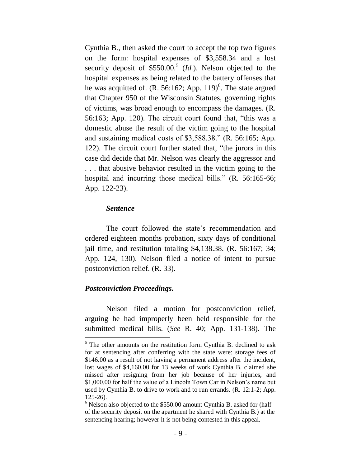Cynthia B., then asked the court to accept the top two figures on the form: hospital expenses of \$3,558.34 and a lost security deposit of  $$550.00$ <sup>5</sup> (*Id.*). Nelson objected to the hospital expenses as being related to the battery offenses that he was acquitted of.  $(R. 56:162; App. 119)^6$ . The state argued that Chapter 950 of the Wisconsin Statutes, governing rights of victims, was broad enough to encompass the damages. (R. 56:163; App. 120). The circuit court found that, "this was a domestic abuse the result of the victim going to the hospital and sustaining medical costs of \$3,588.38." (R. 56:165; App. 122). The circuit court further stated that, "the jurors in this case did decide that Mr. Nelson was clearly the aggressor and . . . that abusive behavior resulted in the victim going to the hospital and incurring those medical bills." (R. 56:165-66; App. 122-23).

#### *Sentence*

The court followed the state's recommendation and ordered eighteen months probation, sixty days of conditional jail time, and restitution totaling \$4,138.38. (R. 56:167; 34; App. 124, 130). Nelson filed a notice of intent to pursue postconviction relief. (R. 33).

### *Postconviction Proceedings.*

 $\overline{\phantom{a}}$ 

Nelson filed a motion for postconviction relief, arguing he had improperly been held responsible for the submitted medical bills. (*See* R. 40; App. 131-138). The

<sup>&</sup>lt;sup>5</sup> The other amounts on the restitution form Cynthia B. declined to ask for at sentencing after conferring with the state were: storage fees of \$146.00 as a result of not having a permanent address after the incident, lost wages of \$4,160.00 for 13 weeks of work Cynthia B. claimed she missed after resigning from her job because of her injuries, and \$1,000.00 for half the value of a Lincoln Town Car in Nelson's name but used by Cynthia B. to drive to work and to run errands. (R. 12:1-2; App. 125-26).

 $6$  Nelson also objected to the \$550.00 amount Cynthia B. asked for (half of the security deposit on the apartment he shared with Cynthia B.) at the sentencing hearing; however it is not being contested in this appeal.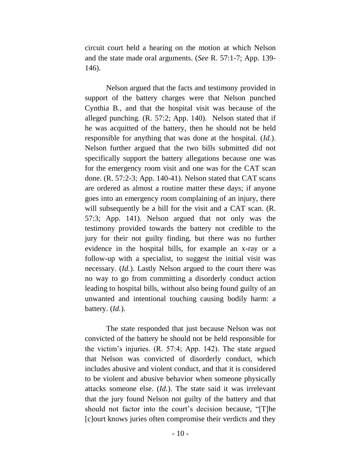circuit court held a hearing on the motion at which Nelson and the state made oral arguments. (*See* R. 57:1-7; App. 139- 146).

Nelson argued that the facts and testimony provided in support of the battery charges were that Nelson punched Cynthia B., and that the hospital visit was because of the alleged punching. (R. 57:2; App. 140). Nelson stated that if he was acquitted of the battery, then he should not be held responsible for anything that was done at the hospital. (*Id.*). Nelson further argued that the two bills submitted did not specifically support the battery allegations because one was for the emergency room visit and one was for the CAT scan done. (R. 57:2-3; App. 140-41). Nelson stated that CAT scans are ordered as almost a routine matter these days; if anyone goes into an emergency room complaining of an injury, there will subsequently be a bill for the visit and a CAT scan. (R. 57:3; App. 141). Nelson argued that not only was the testimony provided towards the battery not credible to the jury for their not guilty finding, but there was no further evidence in the hospital bills, for example an x-ray or a follow-up with a specialist, to suggest the initial visit was necessary. (*Id.*). Lastly Nelson argued to the court there was no way to go from committing a disorderly conduct action leading to hospital bills, without also being found guilty of an unwanted and intentional touching causing bodily harm: a battery. (*Id.*).

The state responded that just because Nelson was not convicted of the battery he should not be held responsible for the victim's injuries. (R. 57:4; App. 142). The state argued that Nelson was convicted of disorderly conduct, which includes abusive and violent conduct, and that it is considered to be violent and abusive behavior when someone physically attacks someone else. (*Id.*). The state said it was irrelevant that the jury found Nelson not guilty of the battery and that should not factor into the court's decision because, "[T]he [c]ourt knows juries often compromise their verdicts and they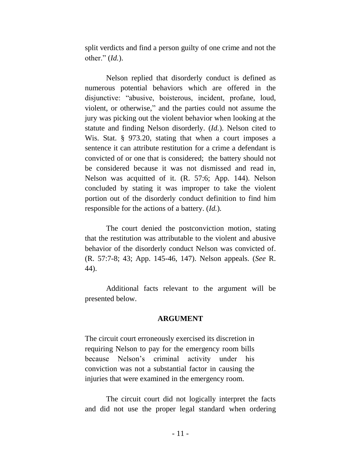split verdicts and find a person guilty of one crime and not the other." (*Id.*).

Nelson replied that disorderly conduct is defined as numerous potential behaviors which are offered in the disjunctive: "abusive, boisterous, incident, profane, loud, violent, or otherwise," and the parties could not assume the jury was picking out the violent behavior when looking at the statute and finding Nelson disorderly. (*Id.*). Nelson cited to Wis. Stat. § 973.20, stating that when a court imposes a sentence it can attribute restitution for a crime a defendant is convicted of or one that is considered; the battery should not be considered because it was not dismissed and read in, Nelson was acquitted of it. (R. 57:6; App. 144). Nelson concluded by stating it was improper to take the violent portion out of the disorderly conduct definition to find him responsible for the actions of a battery. (*Id.*).

The court denied the postconviction motion, stating that the restitution was attributable to the violent and abusive behavior of the disorderly conduct Nelson was convicted of. (R. 57:7-8; 43; App. 145-46, 147). Nelson appeals. (*See* R. 44).

Additional facts relevant to the argument will be presented below.

### **ARGUMENT**

The circuit court erroneously exercised its discretion in requiring Nelson to pay for the emergency room bills because Nelson's criminal activity under his conviction was not a substantial factor in causing the injuries that were examined in the emergency room.

The circuit court did not logically interpret the facts and did not use the proper legal standard when ordering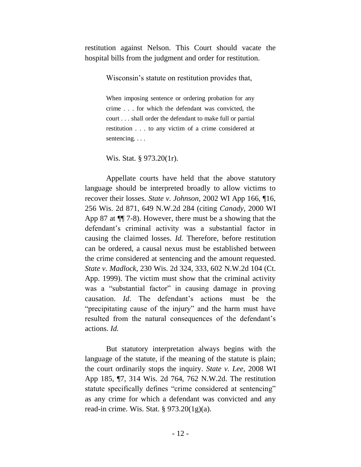restitution against Nelson. This Court should vacate the hospital bills from the judgment and order for restitution.

Wisconsin's statute on restitution provides that,

When imposing sentence or ordering probation for any crime . . . for which the defendant was convicted, the court . . . shall order the defendant to make full or partial restitution . . . to any victim of a crime considered at sentencing. . . .

Wis. Stat. § 973.20(1r).

Appellate courts have held that the above statutory language should be interpreted broadly to allow victims to recover their losses. *State v. Johnson*, 2002 WI App 166, ¶16, 256 Wis. 2d 871, 649 N.W.2d 284 (citing *Canady*, 2000 WI App 87 at ¶¶ 7-8). However, there must be a showing that the defendant's criminal activity was a substantial factor in causing the claimed losses. *Id.* Therefore, before restitution can be ordered, a causal nexus must be established between the crime considered at sentencing and the amount requested. *State v. Madlock*, 230 Wis. 2d 324, 333, 602 N.W.2d 104 (Ct. App. 1999). The victim must show that the criminal activity was a "substantial factor" in causing damage in proving causation. *Id*. The defendant's actions must be the "precipitating cause of the injury" and the harm must have resulted from the natural consequences of the defendant's actions. *Id.*

But statutory interpretation always begins with the language of the statute, if the meaning of the statute is plain; the court ordinarily stops the inquiry. *State v. Lee*, 2008 WI App 185, ¶7, 314 Wis. 2d 764, 762 N.W.2d. The restitution statute specifically defines "crime considered at sentencing" as any crime for which a defendant was convicted and any read-in crime. Wis. Stat. § 973.20(1g)(a).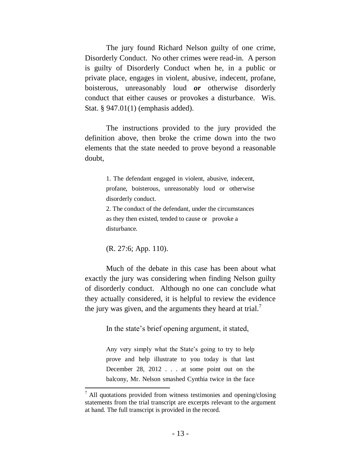The jury found Richard Nelson guilty of one crime, Disorderly Conduct. No other crimes were read-in. A person is guilty of Disorderly Conduct when he, in a public or private place, engages in violent, abusive, indecent, profane, boisterous, unreasonably loud *or* otherwise disorderly conduct that either causes or provokes a disturbance. Wis. Stat. § 947.01(1) (emphasis added).

The instructions provided to the jury provided the definition above, then broke the crime down into the two elements that the state needed to prove beyond a reasonable doubt,

> 1. The defendant engaged in violent, abusive, indecent, profane, boisterous, unreasonably loud or otherwise disorderly conduct.

> 2. The conduct of the defendant, under the circumstances as they then existed, tended to cause or provoke a disturbance.

(R. 27:6; App. 110).

 $\overline{\phantom{a}}$ 

Much of the debate in this case has been about what exactly the jury was considering when finding Nelson guilty of disorderly conduct. Although no one can conclude what they actually considered, it is helpful to review the evidence the jury was given, and the arguments they heard at trial.<sup>7</sup>

In the state's brief opening argument, it stated,

Any very simply what the State's going to try to help prove and help illustrate to you today is that last December 28, 2012 . . . at some point out on the balcony, Mr. Nelson smashed Cynthia twice in the face

 $<sup>7</sup>$  All quotations provided from witness testimonies and opening/closing</sup> statements from the trial transcript are excerpts relevant to the argument at hand. The full transcript is provided in the record.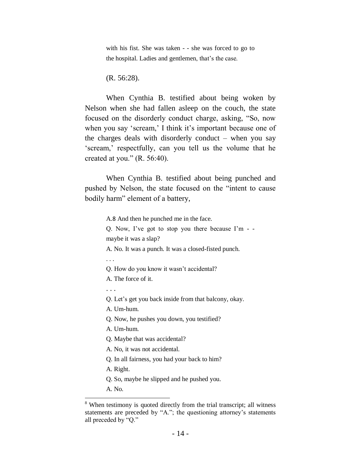with his fist. She was taken - - she was forced to go to the hospital. Ladies and gentlemen, that's the case.

(R. 56:28).

When Cynthia B. testified about being woken by Nelson when she had fallen asleep on the couch, the state focused on the disorderly conduct charge, asking, "So, now when you say 'scream,' I think it's important because one of the charges deals with disorderly conduct – when you say 'scream,' respectfully, can you tell us the volume that he created at you."  $(R. 56:40)$ .

When Cynthia B. testified about being punched and pushed by Nelson, the state focused on the "intent to cause bodily harm" element of a battery,

A.8 And then he punched me in the face.

Q. Now, I've got to stop you there because I'm - maybe it was a slap?

A. No. It was a punch. It was a closed-fisted punch.

. . .

Q. How do you know it wasn't accidental?

A. The force of it.

. . .

Q. Let's get you back inside from that balcony, okay.

A. Um-hum.

Q. Now, he pushes you down, you testified?

A. Um-hum.

Q. Maybe that was accidental?

A. No, it was not accidental.

Q. In all fairness, you had your back to him?

A. Right.

Q. So, maybe he slipped and he pushed you.

A. No.

 $\overline{a}$ 

<sup>&</sup>lt;sup>8</sup> When testimony is quoted directly from the trial transcript; all witness statements are preceded by "A."; the questioning attorney's statements all preceded by "Q."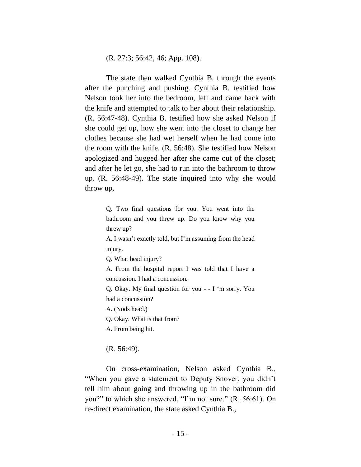(R. 27:3; 56:42, 46; App. 108).

The state then walked Cynthia B. through the events after the punching and pushing. Cynthia B. testified how Nelson took her into the bedroom, left and came back with the knife and attempted to talk to her about their relationship. (R. 56:47-48). Cynthia B. testified how she asked Nelson if she could get up, how she went into the closet to change her clothes because she had wet herself when he had come into the room with the knife. (R. 56:48). She testified how Nelson apologized and hugged her after she came out of the closet; and after he let go, she had to run into the bathroom to throw up. (R. 56:48-49). The state inquired into why she would throw up,

> Q. Two final questions for you. You went into the bathroom and you threw up. Do you know why you threw up?

> A. I wasn't exactly told, but I'm assuming from the head injury.

Q. What head injury?

A. From the hospital report I was told that I have a concussion. I had a concussion.

Q. Okay. My final question for you - - I 'm sorry. You had a concussion?

A. (Nods head.)

Q. Okay. What is that from?

A. From being hit.

(R. 56:49).

On cross-examination, Nelson asked Cynthia B., "When you gave a statement to Deputy Snover, you didn't tell him about going and throwing up in the bathroom did you?" to which she answered, "I'm not sure." (R. 56:61). On re-direct examination, the state asked Cynthia B.,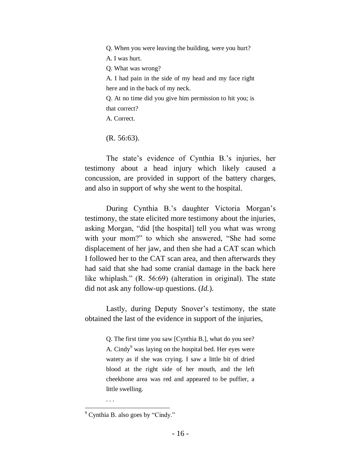Q. When you were leaving the building, were you hurt? A. I was hurt. Q. What was wrong? A. I had pain in the side of my head and my face right here and in the back of my neck. Q. At no time did you give him permission to hit you; is that correct? A. Correct.

(R. 56:63).

The state's evidence of Cynthia B.'s injuries, her testimony about a head injury which likely caused a concussion, are provided in support of the battery charges, and also in support of why she went to the hospital.

During Cynthia B.'s daughter Victoria Morgan's testimony, the state elicited more testimony about the injuries, asking Morgan, "did [the hospital] tell you what was wrong with your mom?" to which she answered, "She had some displacement of her jaw, and then she had a CAT scan which I followed her to the CAT scan area, and then afterwards they had said that she had some cranial damage in the back here like whiplash." (R. 56:69) (alteration in original). The state did not ask any follow-up questions. (*Id.*).

Lastly, during Deputy Snover's testimony, the state obtained the last of the evidence in support of the injuries,

> Q. The first time you saw [Cynthia B.], what do you see? A. Cindy<sup>9</sup> was laying on the hospital bed. Her eyes were watery as if she was crying. I saw a little bit of dried blood at the right side of her mouth, and the left cheekbone area was red and appeared to be puffier, a little swelling.

. . .

 $\overline{a}$  $9^9$  Cynthia B. also goes by "Cindy."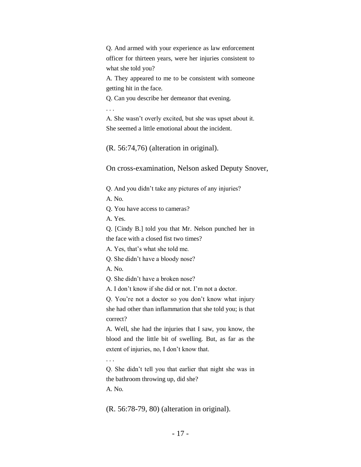Q. And armed with your experience as law enforcement officer for thirteen years, were her injuries consistent to what she told you?

A. They appeared to me to be consistent with someone getting hit in the face.

Q. Can you describe her demeanor that evening.

. . .

A. She wasn't overly excited, but she was upset about it. She seemed a little emotional about the incident.

(R. 56:74,76) (alteration in original).

On cross-examination, Nelson asked Deputy Snover,

Q. And you didn't take any pictures of any injuries?

A. No.

Q. You have access to cameras?

A. Yes.

Q. [Cindy B.] told you that Mr. Nelson punched her in the face with a closed fist two times?

A. Yes, that's what she told me.

Q. She didn't have a bloody nose?

A. No.

Q. She didn't have a broken nose?

A. I don't know if she did or not. I'm not a doctor.

Q. You're not a doctor so you don't know what injury she had other than inflammation that she told you; is that correct?

A. Well, she had the injuries that I saw, you know, the blood and the little bit of swelling. But, as far as the extent of injuries, no, I don't know that.

. . .

Q. She didn't tell you that earlier that night she was in the bathroom throwing up, did she?

A. No.

(R. 56:78-79, 80) (alteration in original).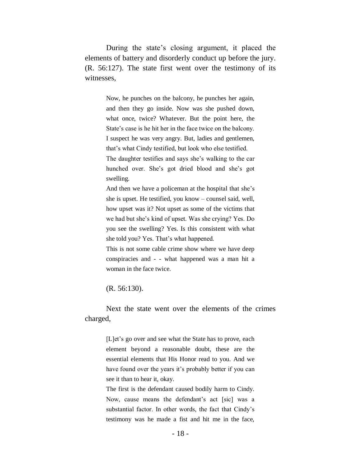During the state's closing argument, it placed the elements of battery and disorderly conduct up before the jury. (R. 56:127). The state first went over the testimony of its witnesses,

> Now, he punches on the balcony, he punches her again, and then they go inside. Now was she pushed down, what once, twice? Whatever. But the point here, the State's case is he hit her in the face twice on the balcony. I suspect he was very angry. But, ladies and gentlemen, that's what Cindy testified, but look who else testified. The daughter testifies and says she's walking to the car hunched over. She's got dried blood and she's got swelling.

> And then we have a policeman at the hospital that she's she is upset. He testified, you know – counsel said, well, how upset was it? Not upset as some of the victims that we had but she's kind of upset. Was she crying? Yes. Do you see the swelling? Yes. Is this consistent with what she told you? Yes. That's what happened.

> This is not some cable crime show where we have deep conspiracies and - - what happened was a man hit a woman in the face twice.

(R. 56:130).

Next the state went over the elements of the crimes charged,

> [L]et's go over and see what the State has to prove, each element beyond a reasonable doubt, these are the essential elements that His Honor read to you. And we have found over the years it's probably better if you can see it than to hear it, okay.

> The first is the defendant caused bodily harm to Cindy. Now, cause means the defendant's act [sic] was a substantial factor. In other words, the fact that Cindy's testimony was he made a fist and hit me in the face,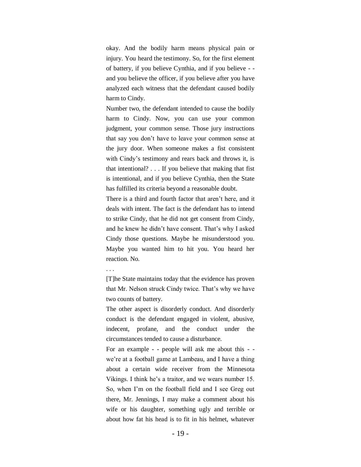okay. And the bodily harm means physical pain or injury. You heard the testimony. So, for the first element of battery, if you believe Cynthia, and if you believe - and you believe the officer, if you believe after you have analyzed each witness that the defendant caused bodily harm to Cindy.

Number two, the defendant intended to cause the bodily harm to Cindy. Now, you can use your common judgment, your common sense. Those jury instructions that say you don't have to leave your common sense at the jury door. When someone makes a fist consistent with Cindy's testimony and rears back and throws it, is that intentional? . . . If you believe that making that fist is intentional, and if you believe Cynthia, then the State has fulfilled its criteria beyond a reasonable doubt.

There is a third and fourth factor that aren't here, and it deals with intent. The fact is the defendant has to intend to strike Cindy, that he did not get consent from Cindy, and he knew he didn't have consent. That's why I asked Cindy those questions. Maybe he misunderstood you. Maybe you wanted him to hit you. You heard her reaction. No.

[T]he State maintains today that the evidence has proven that Mr. Nelson struck Cindy twice. That's why we have two counts of battery.

The other aspect is disorderly conduct. And disorderly conduct is the defendant engaged in violent, abusive, indecent, profane, and the conduct under the circumstances tended to cause a disturbance.

For an example - - people will ask me about this - we're at a football game at Lambeau, and I have a thing about a certain wide receiver from the Minnesota Vikings. I think he's a traitor, and we wears number 15. So, when I'm on the football field and I see Greg out there, Mr. Jennings, I may make a comment about his wife or his daughter, something ugly and terrible or about how fat his head is to fit in his helmet, whatever

<sup>. . .</sup>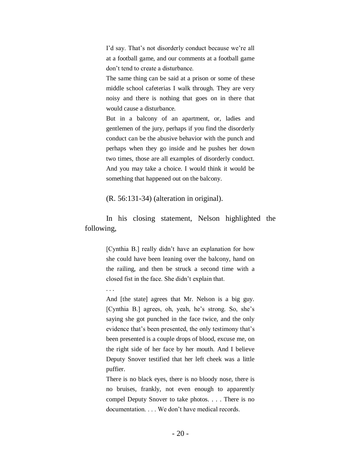I'd say. That's not disorderly conduct because we're all at a football game, and our comments at a football game don't tend to create a disturbance.

The same thing can be said at a prison or some of these middle school cafeterias I walk through. They are very noisy and there is nothing that goes on in there that would cause a disturbance.

But in a balcony of an apartment, or, ladies and gentlemen of the jury, perhaps if you find the disorderly conduct can be the abusive behavior with the punch and perhaps when they go inside and he pushes her down two times, those are all examples of disorderly conduct. And you may take a choice. I would think it would be something that happened out on the balcony.

#### (R. 56:131-34) (alteration in original).

In his closing statement, Nelson highlighted the following,

> [Cynthia B.] really didn't have an explanation for how she could have been leaning over the balcony, hand on the railing, and then be struck a second time with a closed fist in the face. She didn't explain that.

. . .

And [the state] agrees that Mr. Nelson is a big guy. [Cynthia B.] agrees, oh, yeah, he's strong. So, she's saying she got punched in the face twice, and the only evidence that's been presented, the only testimony that's been presented is a couple drops of blood, excuse me, on the right side of her face by her mouth. And I believe Deputy Snover testified that her left cheek was a little puffier.

There is no black eyes, there is no bloody nose, there is no bruises, frankly, not even enough to apparently compel Deputy Snover to take photos. . . . There is no documentation. . . . We don't have medical records.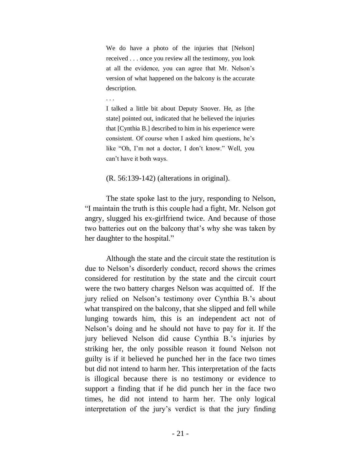We do have a photo of the injuries that [Nelson] received . . . once you review all the testimony, you look at all the evidence, you can agree that Mr. Nelson's version of what happened on the balcony is the accurate description.

. . .

I talked a little bit about Deputy Snover. He, as [the state] pointed out, indicated that he believed the injuries that [Cynthia B.] described to him in his experience were consistent. Of course when I asked him questions, he's like "Oh, I'm not a doctor, I don't know." Well, you can't have it both ways.

### (R. 56:139-142) (alterations in original).

The state spoke last to the jury, responding to Nelson, "I maintain the truth is this couple had a fight, Mr. Nelson got angry, slugged his ex-girlfriend twice. And because of those two batteries out on the balcony that's why she was taken by her daughter to the hospital."

Although the state and the circuit state the restitution is due to Nelson's disorderly conduct, record shows the crimes considered for restitution by the state and the circuit court were the two battery charges Nelson was acquitted of. If the jury relied on Nelson's testimony over Cynthia B.'s about what transpired on the balcony, that she slipped and fell while lunging towards him, this is an independent act not of Nelson's doing and he should not have to pay for it. If the jury believed Nelson did cause Cynthia B.'s injuries by striking her, the only possible reason it found Nelson not guilty is if it believed he punched her in the face two times but did not intend to harm her. This interpretation of the facts is illogical because there is no testimony or evidence to support a finding that if he did punch her in the face two times, he did not intend to harm her. The only logical interpretation of the jury's verdict is that the jury finding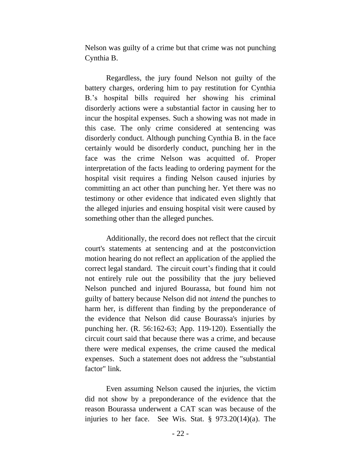Nelson was guilty of a crime but that crime was not punching Cynthia B.

Regardless, the jury found Nelson not guilty of the battery charges, ordering him to pay restitution for Cynthia B.'s hospital bills required her showing his criminal disorderly actions were a substantial factor in causing her to incur the hospital expenses. Such a showing was not made in this case. The only crime considered at sentencing was disorderly conduct. Although punching Cynthia B. in the face certainly would be disorderly conduct, punching her in the face was the crime Nelson was acquitted of. Proper interpretation of the facts leading to ordering payment for the hospital visit requires a finding Nelson caused injuries by committing an act other than punching her. Yet there was no testimony or other evidence that indicated even slightly that the alleged injuries and ensuing hospital visit were caused by something other than the alleged punches.

Additionally, the record does not reflect that the circuit court's statements at sentencing and at the postconviction motion hearing do not reflect an application of the applied the correct legal standard. The circuit court's finding that it could not entirely rule out the possibility that the jury believed Nelson punched and injured Bourassa, but found him not guilty of battery because Nelson did not *intend* the punches to harm her, is different than finding by the preponderance of the evidence that Nelson did cause Bourassa's injuries by punching her. (R. 56:162-63; App. 119-120). Essentially the circuit court said that because there was a crime, and because there were medical expenses, the crime caused the medical expenses. Such a statement does not address the "substantial factor" link.

Even assuming Nelson caused the injuries, the victim did not show by a preponderance of the evidence that the reason Bourassa underwent a CAT scan was because of the injuries to her face. See Wis. Stat. § 973.20(14)(a). The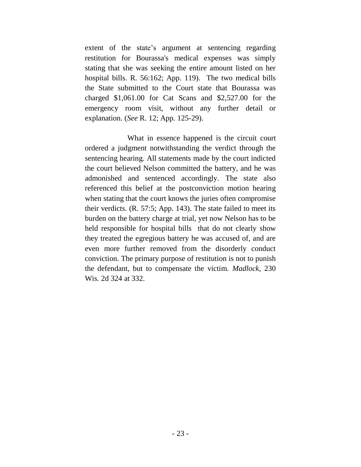extent of the state's argument at sentencing regarding restitution for Bourassa's medical expenses was simply stating that she was seeking the entire amount listed on her hospital bills. R. 56:162; App. 119). The two medical bills the State submitted to the Court state that Bourassa was charged \$1,061.00 for Cat Scans and \$2,527.00 for the emergency room visit, without any further detail or explanation. (*See* R. 12; App. 125-29).

What in essence happened is the circuit court ordered a judgment notwithstanding the verdict through the sentencing hearing. All statements made by the court indicted the court believed Nelson committed the battery, and he was admonished and sentenced accordingly. The state also referenced this belief at the postconviction motion hearing when stating that the court knows the juries often compromise their verdicts. (R. 57:5; App. 143). The state failed to meet its burden on the battery charge at trial, yet now Nelson has to be held responsible for hospital bills that do not clearly show they treated the egregious battery he was accused of, and are even more further removed from the disorderly conduct conviction. The primary purpose of restitution is not to punish the defendant, but to compensate the victim. *Madlock*, 230 Wis. 2d 324 at 332.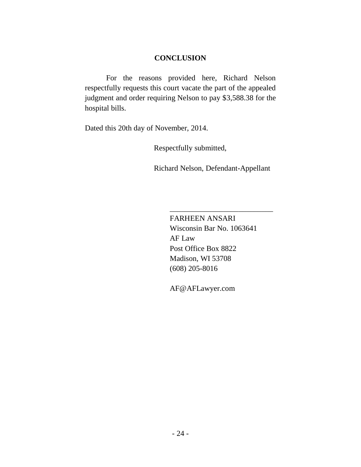### **CONCLUSION**

For the reasons provided here, Richard Nelson respectfully requests this court vacate the part of the appealed judgment and order requiring Nelson to pay \$3,588.38 for the hospital bills.

Dated this 20th day of November, 2014.

Respectfully submitted,

Richard Nelson, Defendant-Appellant

FARHEEN ANSARI Wisconsin Bar No. 1063641 AF Law Post Office Box 8822 Madison, WI 53708 (608) 205-8016

\_\_\_\_\_\_\_\_\_\_\_\_\_\_\_\_\_\_\_\_\_\_\_\_\_\_\_

AF@AFLawyer.com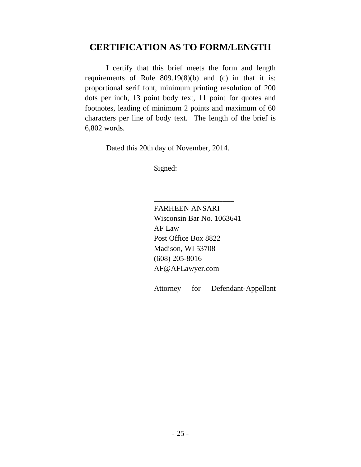# **CERTIFICATION AS TO FORM/LENGTH**

I certify that this brief meets the form and length requirements of Rule 809.19(8)(b) and (c) in that it is: proportional serif font, minimum printing resolution of 200 dots per inch, 13 point body text, 11 point for quotes and footnotes, leading of minimum 2 points and maximum of 60 characters per line of body text. The length of the brief is 6,802 words.

Dated this 20th day of November, 2014.

Signed:

FARHEEN ANSARI Wisconsin Bar No. 1063641 AF Law Post Office Box 8822 Madison, WI 53708 (608) 205-8016 AF@AFLawyer.com

\_\_\_\_\_\_\_\_\_\_\_\_\_\_\_\_\_\_\_\_\_

Attorney for Defendant-Appellant